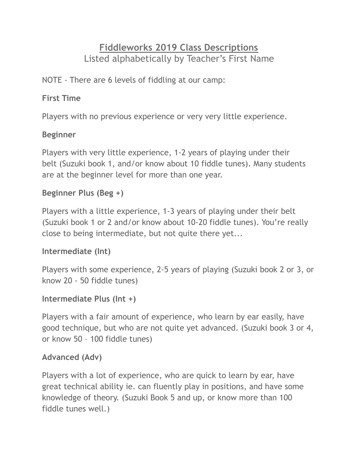# **Fiddleworks 2019 Class Descriptions**  Listed alphabetically by Teacher's First Name

NOTE - There are 6 levels of fiddling at our camp:

#### **First Time**

Players with no previous experience or very very little experience.

#### **Beginner**

Players with very little experience, 1-2 years of playing under their belt (Suzuki book 1, and/or know about 10 fiddle tunes). Many students are at the beginner level for more than one year.

#### **Beginner Plus (Beg +)**

Players with a little experience, 1-3 years of playing under their belt (Suzuki book 1 or 2 and/or know about 10-20 fiddle tunes). You're really close to being intermediate, but not quite there yet...

#### **Intermediate (Int)**

Players with some experience, 2-5 years of playing (Suzuki book 2 or 3, or know 20 - 50 fiddle tunes)

#### **Intermediate Plus (Int +)**

Players with a fair amount of experience, who learn by ear easily, have good technique, but who are not quite yet advanced. (Suzuki book 3 or 4, or know 50 – 100 fiddle tunes)

#### **Advanced (Adv)**

Players with a lot of experience, who are quick to learn by ear, have great technical ability ie. can fluently play in positions, and have some knowledge of theory. (Suzuki Book 5 and up, or know more than 100 fiddle tunes well.)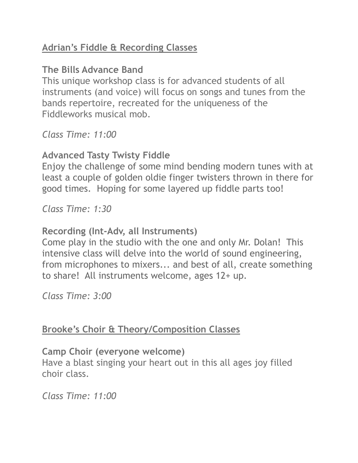## **Adrian's Fiddle & Recording Classes**

# **The Bills Advance Band**

This unique workshop class is for advanced students of all instruments (and voice) will focus on songs and tunes from the bands repertoire, recreated for the uniqueness of the Fiddleworks musical mob.

*Class Time: 11:00*

# **Advanced Tasty Twisty Fiddle**

Enjoy the challenge of some mind bending modern tunes with at least a couple of golden oldie finger twisters thrown in there for good times. Hoping for some layered up fiddle parts too!

*Class Time: 1:30* 

# **Recording (Int-Adv, all Instruments)**

Come play in the studio with the one and only Mr. Dolan! This intensive class will delve into the world of sound engineering, from microphones to mixers... and best of all, create something to share! All instruments welcome, ages 12+ up.

*Class Time: 3:00* 

# **Brooke's Choir & Theory/Composition Classes**

# **Camp Choir (everyone welcome)**

Have a blast singing your heart out in this all ages joy filled choir class.

*Class Time: 11:00*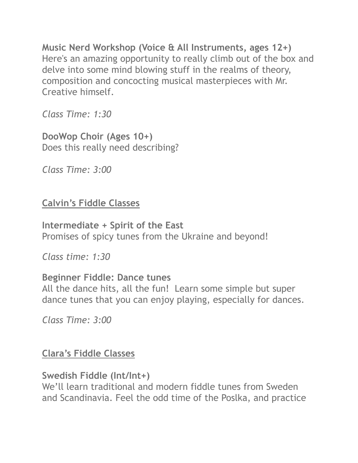**Music Nerd Workshop (Voice & All Instruments, ages 12+)** Here's an amazing opportunity to really climb out of the box and delve into some mind blowing stuff in the realms of theory, composition and concocting musical masterpieces with Mr. Creative himself.

*Class Time: 1:30* 

**DooWop Choir (Ages 10+)** Does this really need describing?

*Class Time: 3:00* 

# **Calvin's Fiddle Classes**

**Intermediate + Spirit of the East** Promises of spicy tunes from the Ukraine and beyond!

*Class time: 1:30*

## **Beginner Fiddle: Dance tunes**

All the dance hits, all the fun! Learn some simple but super dance tunes that you can enjoy playing, especially for dances.

*Class Time: 3:00* 

# **Clara's Fiddle Classes**

## **Swedish Fiddle (Int/Int+)**

We'll learn traditional and modern fiddle tunes from Sweden and Scandinavia. Feel the odd time of the Poslka, and practice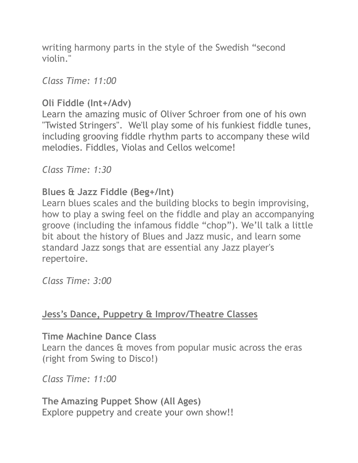writing harmony parts in the style of the Swedish "second violin."

*Class Time: 11:00* 

# **Oli Fiddle (Int+/Adv)**

Learn the amazing music of Oliver Schroer from one of his own "Twisted Stringers". We'll play some of his funkiest fiddle tunes, including grooving fiddle rhythm parts to accompany these wild melodies. Fiddles, Violas and Cellos welcome!

*Class Time: 1:30* 

#### **Blues & Jazz Fiddle (Beg+/Int)**

Learn blues scales and the building blocks to begin improvising, how to play a swing feel on the fiddle and play an accompanying groove (including the infamous fiddle "chop"). We'll talk a little bit about the history of Blues and Jazz music, and learn some standard Jazz songs that are essential any Jazz player's repertoire.

*Class Time: 3:00* 

## **Jess's Dance, Puppetry & Improv/Theatre Classes**

**Time Machine Dance Class**

Learn the dances & moves from popular music across the eras (right from Swing to Disco!)

*Class Time: 11:00* 

**The Amazing Puppet Show (All Ages)** Explore puppetry and create your own show!!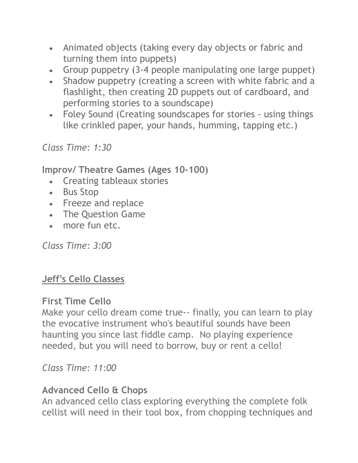- Animated objects (taking every day objects or fabric and turning them into puppets)
- Group puppetry (3-4 people manipulating one large puppet)
- Shadow puppetry (creating a screen with white fabric and a flashlight, then creating 2D puppets out of cardboard, and performing stories to a soundscape)
- Foley Sound (Creating soundscapes for stories using things like crinkled paper, your hands, humming, tapping etc.)

*Class Time: 1:30* 

**Improv/ Theatre Games (Ages 10-100)**

- Creating tableaux stories
- Bus Stop
- Freeze and replace
- The Question Game
- more fun etc.

*Class Time: 3:00* 

## **Jeff's Cello Classes**

#### **First Time Cello**

Make your cello dream come true-- finally, you can learn to play the evocative instrument who's beautiful sounds have been haunting you since last fiddle camp. No playing experience needed, but you will need to borrow, buy or rent a cello!

*Class Time: 11:00* 

## **Advanced Cello & Chops**

An advanced cello class exploring everything the complete folk cellist will need in their tool box, from chopping techniques and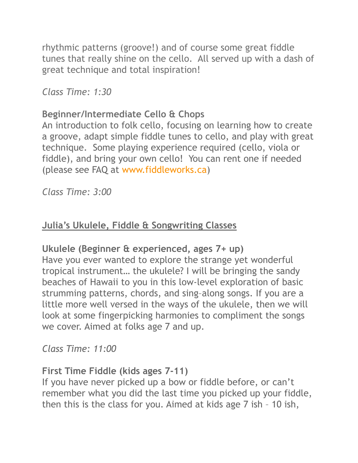rhythmic patterns (groove!) and of course some great fiddle tunes that really shine on the cello. All served up with a dash of great technique and total inspiration!

*Class Time: 1:30* 

#### **Beginner/Intermediate Cello & Chops**

An introduction to folk cello, focusing on learning how to create a groove, adapt simple fiddle tunes to cello, and play with great technique. Some playing experience required (cello, viola or fiddle), and bring your own cello! You can rent one if needed (please see FAQ at [www.fiddleworks.ca\)](http://www.fiddleworks.ca/)

*Class Time: 3:00* 

# **Julia's Ukulele, Fiddle & Songwriting Classes**

## **Ukulele (Beginner & experienced, ages 7+ up)**

Have you ever wanted to explore the strange yet wonderful tropical instrument… the ukulele? I will be bringing the sandy beaches of Hawaii to you in this low-level exploration of basic strumming patterns, chords, and sing–along songs. If you are a little more well versed in the ways of the ukulele, then we will look at some fingerpicking harmonies to compliment the songs we cover. Aimed at folks age 7 and up.

*Class Time: 11:00*

#### **First Time Fiddle (kids ages 7-11)**

If you have never picked up a bow or fiddle before, or can't remember what you did the last time you picked up your fiddle, then this is the class for you. Aimed at kids age 7 ish – 10 ish,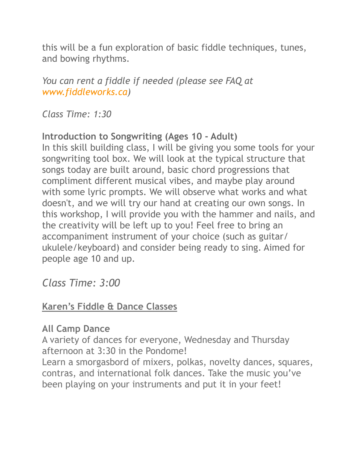this will be a fun exploration of basic fiddle techniques, tunes, and bowing rhythms.

*You can rent a fiddle if needed (please see FAQ at [www.fiddleworks.ca\)](http://www.fiddleworks.ca/)* 

*Class Time: 1:30*

## **Introduction to Songwriting (Ages 10 - Adult)**

In this skill building class, I will be giving you some tools for your songwriting tool box. We will look at the typical structure that songs today are built around, basic chord progressions that compliment different musical vibes, and maybe play around with some lyric prompts. We will observe what works and what doesn't, and we will try our hand at creating our own songs. In this workshop, I will provide you with the hammer and nails, and the creativity will be left up to you! Feel free to bring an accompaniment instrument of your choice (such as guitar/ ukulele/keyboard) and consider being ready to sing. Aimed for people age 10 and up.

*Class Time: 3:00* 

# **Karen's Fiddle & Dance Classes**

## **All Camp Dance**

A variety of dances for everyone, Wednesday and Thursday afternoon at 3:30 in the Pondome!

Learn a smorgasbord of mixers, polkas, novelty dances, squares, contras, and international folk dances. Take the music you've been playing on your instruments and put it in your feet!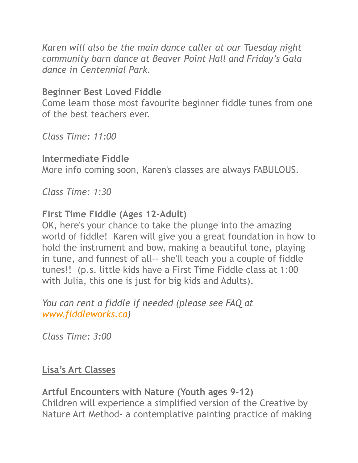*Karen will also be the main dance caller at our Tuesday night community barn dance at Beaver Point Hall and Friday's Gala dance in Centennial Park.*

# **Beginner Best Loved Fiddle**

Come learn those most favourite beginner fiddle tunes from one of the best teachers ever.

*Class Time: 11:00* 

#### **Intermediate Fiddle**

More info coming soon, Karen's classes are always FABULOUS.

*Class Time: 1:30* 

#### **First Time Fiddle (Ages 12-Adult)**

OK, here's your chance to take the plunge into the amazing world of fiddle! Karen will give you a great foundation in how to hold the instrument and bow, making a beautiful tone, playing in tune, and funnest of all-- she'll teach you a couple of fiddle tunes!! (p.s. little kids have a First Time Fiddle class at 1:00 with Julia, this one is just for big kids and Adults).

*You can rent a fiddle if needed (please see FAQ at [www.fiddleworks.ca\)](http://www.fiddleworks.ca/)* 

*Class Time: 3:00* 

#### **Lisa's Art Classes**

**Artful Encounters with Nature (Youth ages 9-12)** Children will experience a simplified version of the Creative by Nature Art Method- a contemplative painting practice of making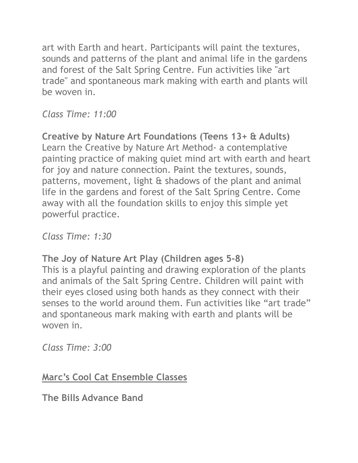art with Earth and heart. Participants will paint the textures, sounds and patterns of the plant and animal life in the gardens and forest of the Salt Spring Centre. Fun activities like "art trade" and spontaneous mark making with earth and plants will be woven in.

*Class Time: 11:00* 

**Creative by Nature Art Foundations (Teens 13+ & Adults)** Learn the Creative by Nature Art Method- a contemplative painting practice of making quiet mind art with earth and heart for joy and nature connection. Paint the textures, sounds, patterns, movement, light & shadows of the plant and animal life in the gardens and forest of the Salt Spring Centre. Come away with all the foundation skills to enjoy this simple yet powerful practice.

*Class Time: 1:30*

# **The Joy of Nature Art Play (Children ages 5-8)**

This is a playful painting and drawing exploration of the plants and animals of the Salt Spring Centre. Children will paint with their eyes closed using both hands as they connect with their senses to the world around them. Fun activities like "art trade" and spontaneous mark making with earth and plants will be woven in.

*Class Time: 3:00*

**Marc's Cool Cat Ensemble Classes**

**The Bills Advance Band**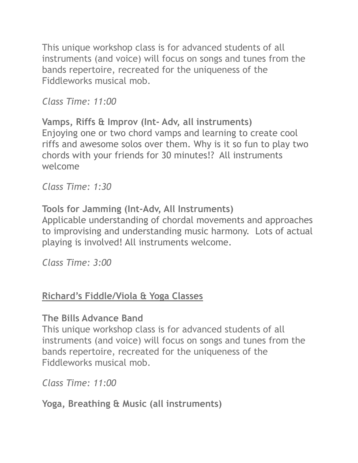This unique workshop class is for advanced students of all instruments (and voice) will focus on songs and tunes from the bands repertoire, recreated for the uniqueness of the Fiddleworks musical mob.

*Class Time: 11:00*

**Vamps, Riffs & Improv (Int- Adv, all instruments)** Enjoying one or two chord vamps and learning to create cool riffs and awesome solos over them. Why is it so fun to play two chords with your friends for 30 minutes!? All instruments welcome

*Class Time: 1:30* 

**Tools for Jamming (Int-Adv, All Instruments)** Applicable understanding of chordal movements and approaches to improvising and understanding music harmony. Lots of actual playing is involved! All instruments welcome.

*Class Time: 3:00* 

# **Richard's Fiddle/Viola & Yoga Classes**

## **The Bills Advance Band**

This unique workshop class is for advanced students of all instruments (and voice) will focus on songs and tunes from the bands repertoire, recreated for the uniqueness of the Fiddleworks musical mob.

*Class Time: 11:00*

**Yoga, Breathing & Music (all instruments)**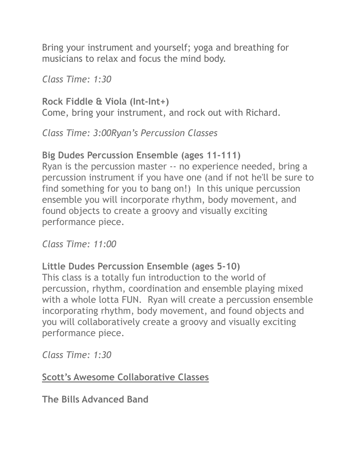Bring your instrument and yourself; yoga and breathing for musicians to relax and focus the mind body.

*Class Time: 1:30* 

**Rock Fiddle & Viola (Int-Int+)** Come, bring your instrument, and rock out with Richard.

*Class Time: 3:00Ryan's Percussion Classes* 

# **Big Dudes Percussion Ensemble (ages 11-111)**

Ryan is the percussion master -- no experience needed, bring a percussion instrument if you have one (and if not he'll be sure to find something for you to bang on!) In this unique percussion ensemble you will incorporate rhythm, body movement, and found objects to create a groovy and visually exciting performance piece.

*Class Time: 11:00* 

**Little Dudes Percussion Ensemble (ages 5-10)** This class is a totally fun introduction to the world of percussion, rhythm, coordination and ensemble playing mixed with a whole lotta FUN. Ryan will create a percussion ensemble incorporating rhythm, body movement, and found objects and you will collaboratively create a groovy and visually exciting performance piece.

*Class Time: 1:30* 

**Scott's Awesome Collaborative Classes** 

**The Bills Advanced Band**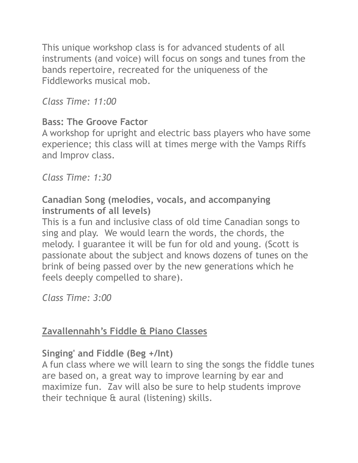This unique workshop class is for advanced students of all instruments (and voice) will focus on songs and tunes from the bands repertoire, recreated for the uniqueness of the Fiddleworks musical mob.

*Class Time: 11:00*

# **Bass: The Groove Factor**

A workshop for upright and electric bass players who have some experience; this class will at times merge with the Vamps Riffs and Improv class.

*Class Time: 1:30* 

## **Canadian Song (melodies, vocals, and accompanying instruments of all levels)**

This is a fun and inclusive class of old time Canadian songs to sing and play. We would learn the words, the chords, the melody. I guarantee it will be fun for old and young. (Scott is passionate about the subject and knows dozens of tunes on the brink of being passed over by the new generations which he feels deeply compelled to share).

*Class Time: 3:00* 

# **Zavallennahh's Fiddle & Piano Classes**

# **Singing' and Fiddle (Beg +/Int)**

A fun class where we will learn to sing the songs the fiddle tunes are based on, a great way to improve learning by ear and maximize fun. Zav will also be sure to help students improve their technique & aural (listening) skills.